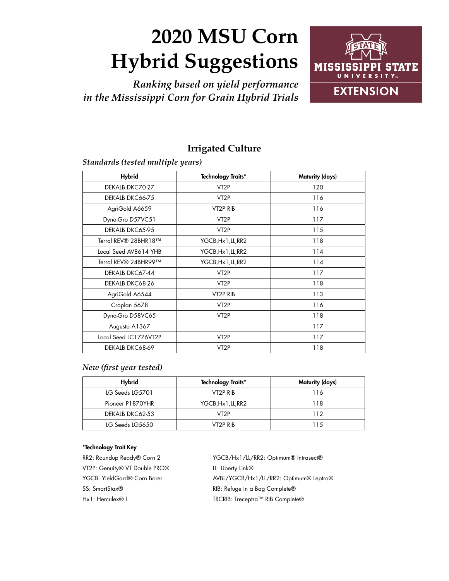# **2020 MSU Corn Hybrid Suggestions**

*Ranking based on yield performance in the Mississippi Corn for Grain Hybrid Trials*



## **Irrigated Culture**

*Standards (tested multiple years)*

| <b>Hybrid</b>         | <b>Technology Traits*</b> | Maturity (days) |
|-----------------------|---------------------------|-----------------|
| DEKALB DKC70-27       | VT <sub>2</sub> P         | 120             |
| DEKALB DKC66-75       | VT <sub>2</sub> P         | 116             |
| AgriGold A6659        | VT <sub>2</sub> P RIB     | 116             |
| Dyna-Gro D57VC51      | VT <sub>2</sub> P         | 117             |
| DEKALB DKC65-95       | VT <sub>2</sub> P         | 115             |
| Terral REV® 28BHR18™  | YGCB, Hx 1, LL, RR2       | 118             |
| Local Seed AV8614 YHB | YGCB, Hx 1, LL, RR2       | 114             |
| Terral REV® 24BHR99™  | YGCB, Hx 1, LL, RR2       | 114             |
| DEKALB DKC67-44       | VT <sub>2</sub> P         | 117             |
| DEKALB DKC68-26       | VT <sub>2</sub> P         | 118             |
| AgriGold A6544        | VT2P RIB                  | 113             |
| Croplan 5678          | VT <sub>2</sub> P         | 116             |
| Dyna-Gro D58VC65      | VT <sub>2</sub> P         | 118             |
| Augusta A1367         |                           | 117             |
| Local Seed LC1776VT2P | VT <sub>2</sub> P         | 117             |
| DEKALB DKC68-69       | VT <sub>2</sub> P         | 118             |

## *New (first year tested)*

| <b>Hybrid</b>    | <b>Technology Traits*</b> | Maturity (days) |
|------------------|---------------------------|-----------------|
| LG Seeds LG5701  | VT2P RIB                  | 116             |
| Pioneer P1870YHR | YGCB, Hx 1, LL, RR2       | 118             |
| DEKALB DKC62-53  | VT2P                      | 112             |
| LG Seeds LG5650  | VT2P RIB                  | 11.5            |

## \*Technology Trait Key

RR2: Roundup Ready® Corn 2 VT2P: Genuity® VT Double PRO® YGCB: YieldGard® Corn Borer SS: SmartStax® Hx1: Herculex® I

YGCB/Hx1/LL/RR2: Optimum® Intrasect® LL: Liberty Link® AVBL/YGCB/Hx1/LL/RR2: Optimum® Leptra® RIB: Refuge In a Bag Complete® TRCRIB: Treceptra™ RIB Complete®